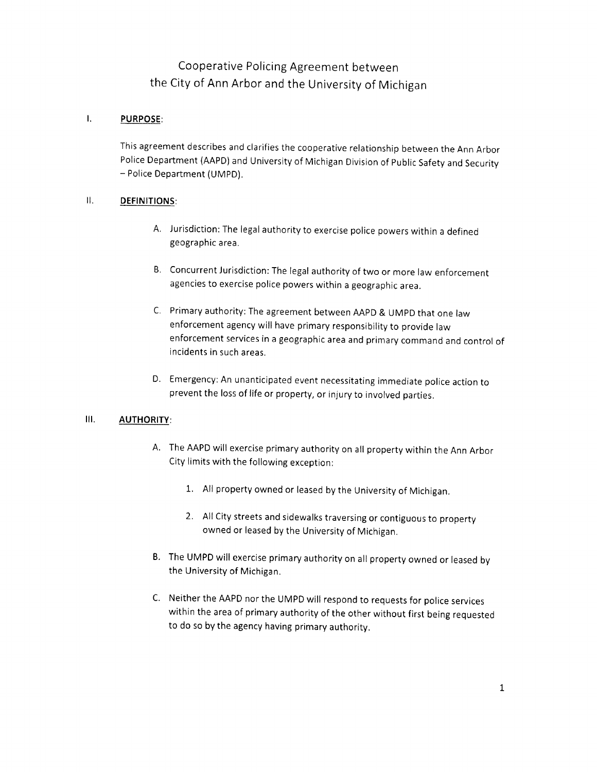# Cooperative Policing Agreement between the City of Ann Arbor and the University of Michigan

#### $\mathbf{L}$ PURPOSE:

This agreement describes and clarifies the cooperative relationship between the Ann Arbor Police Department (AAPD) and University of Michigan Division of Public Safety and Security — Police Department (UMPD).

## II. DEFINITIONS:

- A. Jurisdiction: The legal authority to exercise police powers within <sup>a</sup> defined geographic area.
- 8. Concurrent Jurisdiction: The legal authority of two or more law enforcement agencies to exercise police powers within <sup>a</sup> geographic area.
- C. Primary authority: The agreement between AAPD & UMPD that one law enforcement agency will have primary responsibility to provide law enforcement services in <sup>a</sup> geographic area and primary command and control of incidents in such areas.
- D. Emergency: An unanticipated event necessitating immediate police action to prevent the loss of life or property, or injury to involved parties.

#### Ill. AUTHORITY:

- A. The AAPD will exercise primary authority on all property within the Ann Arbor City limits with the following exception:
	- 1. All property owned or leased by the University of Michigan.
	- 2. All City streets and sidewalks traversing or contiguous to property owned or leased by the University of Michigan.
- B. The UMPD will exercise primary authority on all property owned or leased by the University of Michigan.
- C. Neither the AAPD nor the UMPD will respond to requests for police services within the area of primary authority of the other without first being requested to do so by the agency having primary authority.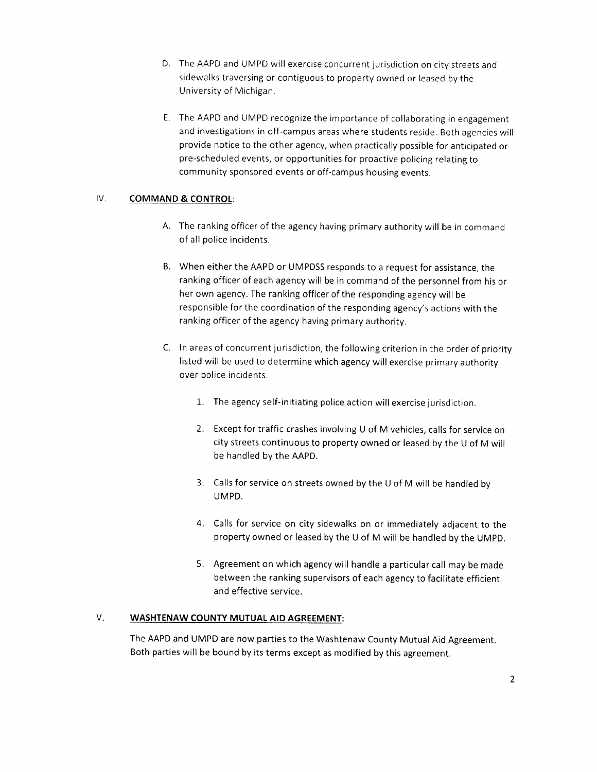- D. The AAPD and UMPD will exercise concurrent jurisdiction on city streets and sidewalks traversing or contiguous to property owned or leased by the University of Michigan.
- E. The AAPD and UMPD recognize the importance of collaborating in engagement and investigations in off-campus areas where students reside. Both agencies will provide notice to the other agency, when practically possible for anticipated or pre-scheduled events, or opportunities for proactive policing relating to community sponsored events or off-campus housing events.

#### IV. COMMAND & CONTROL:

- A. The ranking officer of the agency having primary authority will be in command of all police incidents.
- B. When either the AAPD or UMPDSS responds to <sup>a</sup> request for assistance, the ranking officer of each agency will be in command of the personnel from his or her own agency. The ranking officer of the responding agency will be responsible for the coordination of the responding agency's actions with the ranking officer of the agency having primary authority.
- C. In areas of concurrent jurisdiction, the following criterion in the order of priority listed will be used to determine which agency will exercise primary authority over police incidents.
	- 1. The agency self-initiating police action will exercise jurisdiction.
	- 2. Except for traffic crashes involving <sup>U</sup> of <sup>M</sup> vehicles, calls for service on city streets continuous to property owned or leased by the <sup>U</sup> of <sup>M</sup> will be handled by the AAPD.
	- 3. Calls for service on streets owned by the <sup>U</sup> of <sup>M</sup> will be handled by UMPD.
	- 4. Calls for service on city sidewalks on or immediately adjacent to the property owned or leased by the <sup>U</sup> of <sup>M</sup> will be handled by the UMPD.
	- 5. Agreement on which agency will handle <sup>a</sup> particular call may be made between the ranking supervisors of each agency to facilitate efficient and effective service.

#### V. WASHTENAW COUNTY MUTUAL AID AGREEMENT:

The AAPD and UMPD are now parties to the Washtenaw County Mutual Aid Agreement. Both parties will be bound by its terms except as modified by this agreement.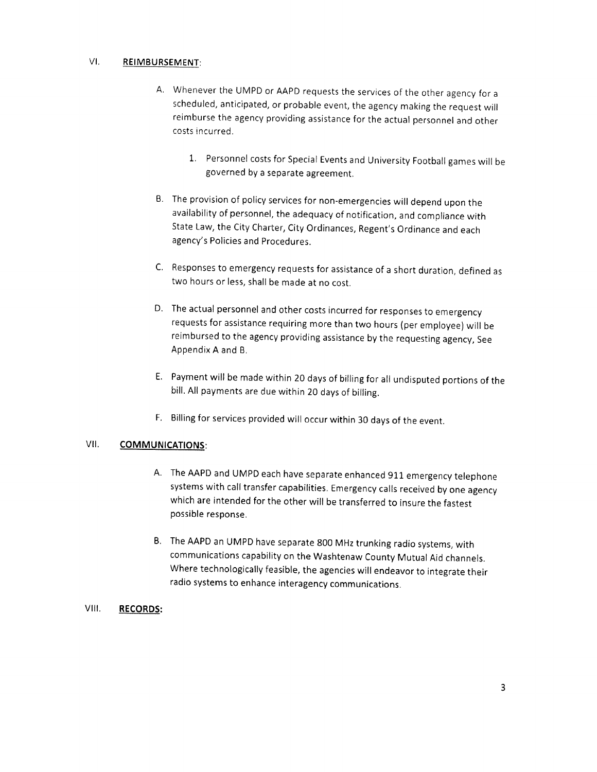#### VI. REIMBURSEMENT:

- A. Whenever the UMPD or AAPD requests the services of the other agency for <sup>a</sup> scheduled, anticipated, or probable event, the agency making the request will reimburse the agency providing assistance for the actual personnel and other costs incurred.
	- 1. Personnel costs for Special Events and University Football games will be governed by <sup>a</sup> separate agreement.
- B. The provision of policy services for non-emergencies will depend upon the availability of personnel, the adequacy of notification, and compliance with State Law, the City Charter, City Ordinances, Regent's Ordinance and each agency's Policies and Procedures.
- C. Responses to emergency requests for assistance of <sup>a</sup> short duration, defined as two hours or less, shall be made at no cost.
- D. The actual personnel and other costs incurred for responses to emergency requests for assistance requiring more than two hours (per employee) will be reimbursed to the agency providing assistance by the requesting agency, See Appendix A and B.
- E. Payment will be made within <sup>20</sup> days of billing for all undisputed portions of the bill. All payments are due within <sup>20</sup> days of billing.
- F. Billing for services provided will occur within <sup>30</sup> days of the event.

#### VII. **COMMUNICATIONS:**

- A. The AAPD and UMPD each have separate enhanced <sup>911</sup> emergency telephone systems with call transfer capabilities. Emergency calls received by one agency which are intended for the other will be transferred to insure the fastest possible response.
- 8. The AAPD an UMPD have separate <sup>800</sup> MHz trunking radio systems, with communications capability on the Washtenaw County Mutual Aid channels. Where technologically feasible, the agencies will endeavor to integrate their radio systems to enhance interagency communications.

## VIII. RECORDS: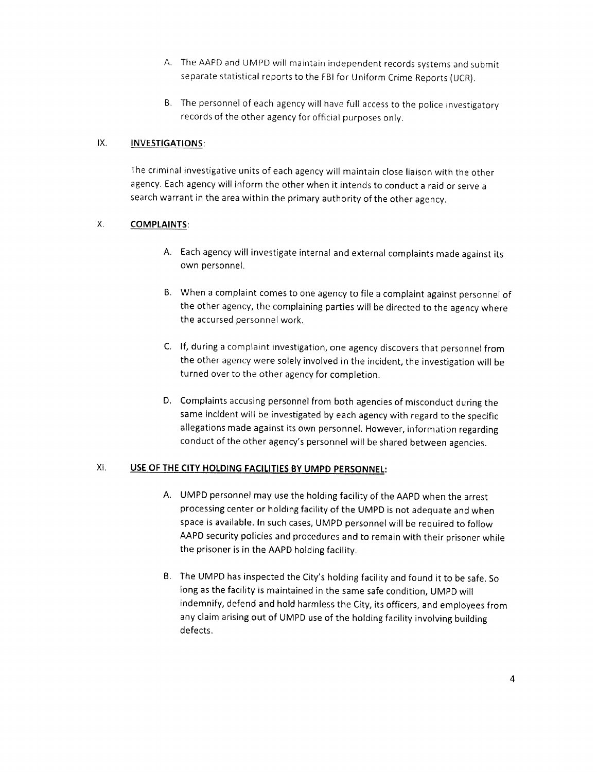- A. The AAPD and UMPD will maintain independent records systems and submit separate statistical reports to the FBI for Uniform Crime Reports (UCR).
- B. The personnel of each agency will have full access to the police investigatory records of the other agency for official purposes only.

## IX. INVESTIGATIONS:

The criminal investigative units of each agency will maintain close liaison with the other agency. Each agency will inform the other when it intends to conduct <sup>a</sup> raid or serve <sup>a</sup> search warrant in the area within the primary authority of the other agency.

# X, COMPLAINTS:

- A. Each agency will investigate internal and external complaints made against its own personnel.
- B. When <sup>a</sup> complaint comes to one agency to file <sup>a</sup> complaint against personnel of the other agency, the complaining parties will be directed to the agency where the accursed personnel work.
- C. If, during <sup>a</sup> complaint investigation, one agency discovers that personnel from the other agency were solely involved in the incident, the investigation will be turned over to the other agency for completion.
- D. Complaints accusing personnel from both agencies of misconduct during the same incident will be investigated by each agency with regard to the specific allegations made against its own personnel. However, information regarding conduct of the other agency's personnel will be shared between agencies.

# XI. USE OF THE CITY HOLDING FACILITIES BY UMPD PERSONNEL:

- A. UMPD personnel may use the holding facility of the AAPD when the arrest processing center or holding facility of the UMPD is not adequate and when space is available. In such cases, UMPD personnel will be required to follow AAPD security policies and procedures and to remain with their prisoner while the prisoner is in the AAPD holding facility.
- B. The UMPD has inspected the City's holding facility and found it to be safe. So long as the facility is maintained in the same safe condition, UMPD will indemnify, defend and hold harmless the City, its officers, and employees from any claim arising out of UMPD use of the holding facility involving building defects.